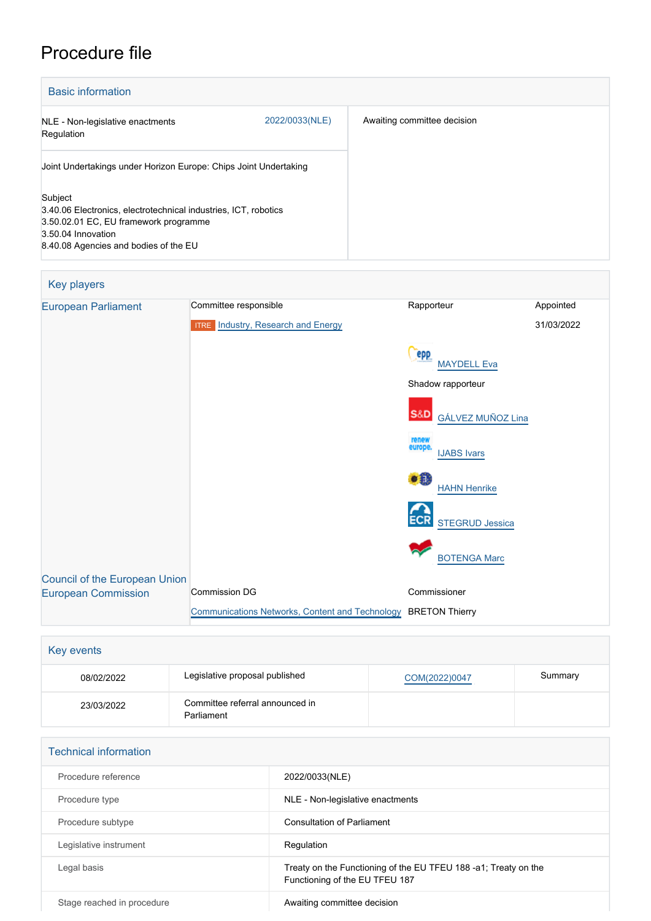# Procedure file

| <b>Basic information</b>                                                                                                                                                           |                |                             |  |  |  |  |
|------------------------------------------------------------------------------------------------------------------------------------------------------------------------------------|----------------|-----------------------------|--|--|--|--|
| NLE - Non-legislative enactments<br>Regulation                                                                                                                                     | 2022/0033(NLE) | Awaiting committee decision |  |  |  |  |
| Joint Undertakings under Horizon Europe: Chips Joint Undertaking                                                                                                                   |                |                             |  |  |  |  |
| Subject<br>3.40.06 Electronics, electrotechnical industries, ICT, robotics<br>3.50.02.01 EC, EU framework programme<br>3.50.04 Innovation<br>8.40.08 Agencies and bodies of the EU |                |                             |  |  |  |  |

| Key players                          |                                                        |                                        |            |
|--------------------------------------|--------------------------------------------------------|----------------------------------------|------------|
| <b>European Parliament</b>           | Committee responsible                                  | Rapporteur                             | Appointed  |
|                                      | <b>ITRE</b> Industry, Research and Energy              |                                        | 31/03/2022 |
|                                      |                                                        | epp<br><b>MAYDELL Eva</b>              |            |
|                                      |                                                        | Shadow rapporteur                      |            |
|                                      |                                                        | <b>S&amp;D</b><br>GÁLVEZ MUÑOZ Lina    |            |
|                                      |                                                        | renew<br>europe.<br><b>IJABS</b> Ivars |            |
|                                      |                                                        | o F<br><b>HAHN Henrike</b>             |            |
|                                      |                                                        | <b>ECR</b><br><b>STEGRUD Jessica</b>   |            |
|                                      |                                                        | <b>BOTENGA Marc</b>                    |            |
| <b>Council of the European Union</b> |                                                        |                                        |            |
| <b>European Commission</b>           | <b>Commission DG</b>                                   | Commissioner                           |            |
|                                      | <b>Communications Networks, Content and Technology</b> | <b>BRETON Thierry</b>                  |            |

| Key events |                                               |               |         |
|------------|-----------------------------------------------|---------------|---------|
| 08/02/2022 | Legislative proposal published                | COM(2022)0047 | Summary |
| 23/03/2022 | Committee referral announced in<br>Parliament |               |         |

| <b>Technical information</b> |                                                                                                   |
|------------------------------|---------------------------------------------------------------------------------------------------|
| Procedure reference          | 2022/0033(NLE)                                                                                    |
| Procedure type               | NLE - Non-legislative enactments                                                                  |
| Procedure subtype            | <b>Consultation of Parliament</b>                                                                 |
| Legislative instrument       | Regulation                                                                                        |
| Legal basis                  | Treaty on the Functioning of the EU TFEU 188 -a1; Treaty on the<br>Functioning of the EU TFEU 187 |
| Stage reached in procedure   | Awaiting committee decision                                                                       |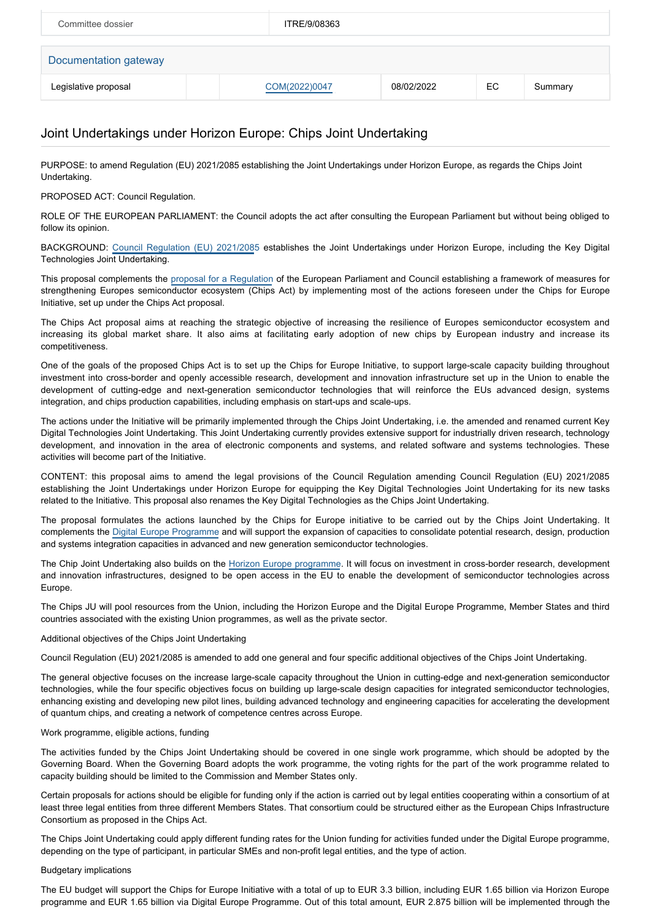| Committee dossier     |  | ITRE/9/08363  |  |            |           |         |
|-----------------------|--|---------------|--|------------|-----------|---------|
| Documentation gateway |  |               |  |            |           |         |
| Legislative proposal  |  | COM(2022)0047 |  | 08/02/2022 | <b>EC</b> | Summary |

## Joint Undertakings under Horizon Europe: Chips Joint Undertaking

PURPOSE: to amend Regulation (EU) 2021/2085 establishing the Joint Undertakings under Horizon Europe, as regards the Chips Joint Undertaking.

PROPOSED ACT: Council Regulation.

ROLE OF THE EUROPEAN PARLIAMENT: the Council adopts the act after consulting the European Parliament but without being obliged to follow its opinion.

BACKGROUND: [Council Regulation \(EU\) 2021/2085](https://oeil.secure.europarl.europa.eu/oeil/popups/ficheprocedure.do?reference=2021/0048(NLE)&l=en) establishes the Joint Undertakings under Horizon Europe, including the Key Digital Technologies Joint Undertaking.

This proposal complements the [proposal for a Regulation](https://oeil.secure.europarl.europa.eu/oeil/popups/ficheprocedure.do?reference=2022/0032(COD)&l=en) of the European Parliament and Council establishing a framework of measures for strengthening Europes semiconductor ecosystem (Chips Act) by implementing most of the actions foreseen under the Chips for Europe Initiative, set up under the Chips Act proposal.

The Chips Act proposal aims at reaching the strategic objective of increasing the resilience of Europes semiconductor ecosystem and increasing its global market share. It also aims at facilitating early adoption of new chips by European industry and increase its competitiveness.

One of the goals of the proposed Chips Act is to set up the Chips for Europe Initiative, to support large-scale capacity building throughout investment into cross-border and openly accessible research, development and innovation infrastructure set up in the Union to enable the development of cutting-edge and next-generation semiconductor technologies that will reinforce the EUs advanced design, systems integration, and chips production capabilities, including emphasis on start-ups and scale-ups.

The actions under the Initiative will be primarily implemented through the Chips Joint Undertaking, i.e. the amended and renamed current Key Digital Technologies Joint Undertaking. This Joint Undertaking currently provides extensive support for industrially driven research, technology development, and innovation in the area of electronic components and systems, and related software and systems technologies. These activities will become part of the Initiative.

CONTENT: this proposal aims to amend the legal provisions of the Council Regulation amending Council Regulation (EU) 2021/2085 establishing the Joint Undertakings under Horizon Europe for equipping the Key Digital Technologies Joint Undertaking for its new tasks related to the Initiative. This proposal also renames the Key Digital Technologies as the Chips Joint Undertaking.

The proposal formulates the actions launched by the Chips for Europe initiative to be carried out by the Chips Joint Undertaking. It complements the [Digital Europe Programme](https://oeil.secure.europarl.europa.eu/oeil/popups/ficheprocedure.do?reference=2018/0227(COD)&l=en) and will support the expansion of capacities to consolidate potential research, design, production and systems integration capacities in advanced and new generation semiconductor technologies.

The Chip Joint Undertaking also builds on the [Horizon Europe programme](https://oeil.secure.europarl.europa.eu/oeil/popups/ficheprocedure.do?reference=2018/0224(COD)&l=en). It will focus on investment in cross-border research, development and innovation infrastructures, designed to be open access in the EU to enable the development of semiconductor technologies across Europe.

The Chips JU will pool resources from the Union, including the Horizon Europe and the Digital Europe Programme, Member States and third countries associated with the existing Union programmes, as well as the private sector.

### Additional objectives of the Chips Joint Undertaking

Council Regulation (EU) 2021/2085 is amended to add one general and four specific additional objectives of the Chips Joint Undertaking.

The general objective focuses on the increase large-scale capacity throughout the Union in cutting-edge and next-generation semiconductor technologies, while the four specific objectives focus on building up large-scale design capacities for integrated semiconductor technologies, enhancing existing and developing new pilot lines, building advanced technology and engineering capacities for accelerating the development of quantum chips, and creating a network of competence centres across Europe.

### Work programme, eligible actions, funding

The activities funded by the Chips Joint Undertaking should be covered in one single work programme, which should be adopted by the Governing Board. When the Governing Board adopts the work programme, the voting rights for the part of the work programme related to capacity building should be limited to the Commission and Member States only.

Certain proposals for actions should be eligible for funding only if the action is carried out by legal entities cooperating within a consortium of at least three legal entities from three different Members States. That consortium could be structured either as the European Chips Infrastructure Consortium as proposed in the Chips Act.

The Chips Joint Undertaking could apply different funding rates for the Union funding for activities funded under the Digital Europe programme, depending on the type of participant, in particular SMEs and non-profit legal entities, and the type of action.

### Budgetary implications

The EU budget will support the Chips for Europe Initiative with a total of up to EUR 3.3 billion, including EUR 1.65 billion via Horizon Europe programme and EUR 1.65 billion via Digital Europe Programme. Out of this total amount, EUR 2.875 billion will be implemented through the